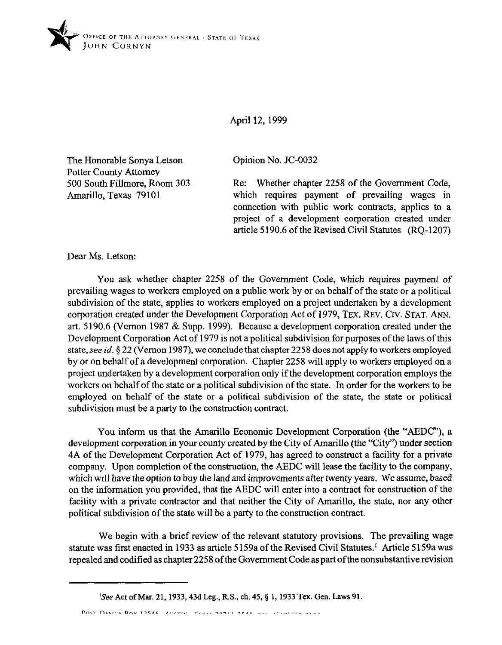

## April 12, 1999

Opinion No. JC-0032

Re: Whether chapter 2258 of the Government Code, which requires payment of prevailing wages in connection with public work contracts, applies to a project of a development corporation created under article 5190.6 of the Revised Civil Statutes (RQ-1207)

Dear Ms. Letson:

Amarillo, Texas 79101

The Honorable Sonya Letson Potter County Attorney

500 South Fillmore, Room 303

You ask whether chapter 2258 of the Government Code, which requires payment of prevailing wages to workers employed on a public work by or on behalf of the state or a political subdivision of the state, applies to workers employed on a project undertaken by a development corporation created under the Development Corporation Act of 1979, TEX. REV. Crv. STAT. ANN. art. 5190.6 (Vernon 1987 & Supp. 1999). Because a development corporation created under the Development Corporation Act of 1979 is not a political subdivision for purposes of the laws of this state, see id. § 22 (Vernon 1987), we conclude that chapter 2258 does not apply to workers employed by or on behalf of a development corporation. Chapter 2258 will apply to workers employed on a project undertaken by a development corporation only if the development corporation employs the workers on behalf of the state or a political subdivision of the state. In order for the workers to be employed on behalf of the state or a political subdivision of the state, the state or political subdivision must be a party to the construction contract.

You inform us that the Amarillo Economic Development Corporation (the "AEDC"), a development corporation in your county created by the City of Amarillo (the "City") under section 4A of the Development Corporation Act of 1979, has agreed to construct a facility for a private company. Upon completion of the construction, the AEDC will lease the facility to the company, which will have the option to buy the land and improvements after twenty years. We assume, based on the information you provided, that the AEDC will enter into a contract for construction of the facility with a private contractor and that neither the City of Amarillo, the state, nor any other political subdivision of the state will be a party to the construction contract.

We begin with a brief review of the relevant statutory provisions. The prevailing wage statute was first enacted in 1933 as article 5159a of the Revised Civil Statutes.' Article 5159a was repealed and codified as chapter 2258 ofthe Government Code as part ofthe nonsubstantive revision

POST OCCIDE ROV 19540 AMERICA TRULE 20211 2540 --- (CIALIZA ALAN

<sup>&#</sup>x27;See Act of Mar. 21, 1933, 43d Leg., R.S., ch. 45, § 1, 1933 Tex. Gen. Laws 91.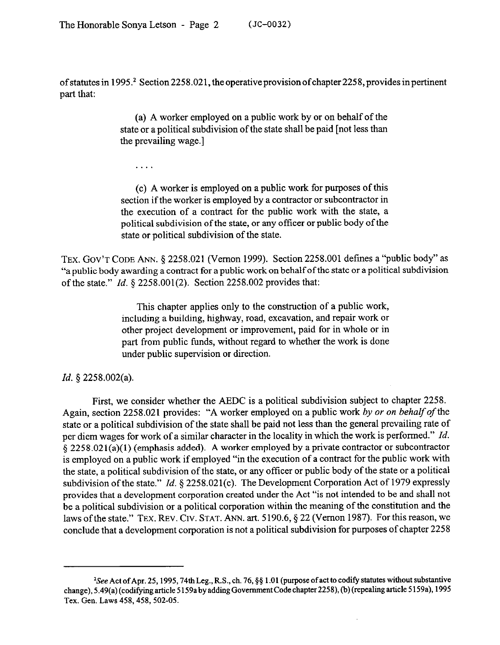of statutes in 1995.<sup>2</sup> Section 2258.021, the operative provision of chapter 2258, provides in pertinent part that:

> (a) A worker employed on a public work by or on behalf of the state or a political subdivision of the state shall be paid [not less than the prevailing wage.]

. . .

(c) A worker is employed on a public work for purposes of this section if the worker is employed by a contractor or subcontractor in the execution of a contract for the public work with the state, a political subdivision of the state, or any officer or public body of the state or political subdivision of the state.

TEX. GOV'T CODE ANN. 5 2258.021 (Vernon 1999). Section 2258.001 defines a "public body" as "a public body awarding a contract for a public work on behalf of the state or a political subdivision of the state." *Id.* 5 2258.001(2). Section 2258.002 provides that:

> This chapter applies only to the construction of a public work, including a building, highway, road, excavation, and repair work or other project development or improvement, paid for in whole or in part from public funds, without regard to whether the work is done under public supervision or direction.

## *Id. 5* 2258.002(a).

First, we consider whether the AEDC is a political subdivision subject to chapter 2258. Again, section 2258.021 provides: "A worker employed on a public work by or on behalf of the state or a political subdivision of the state shall be paid not less than the general prevailing rate of per diem wages for work of a similar character in the locality in which the work is performed." *Id.*  § 2258.021(a)(l) (emphasis added). A worker employed by a private contractor or subcontractor is employed on a public work if employed "in the execution of a contract for the public work with the state, a political subdivision of the state, or any officer or public body of the state or a political subdivision of the state." *Id.* § 2258.021(c). The Development Corporation Act of 1979 expressly provides that a development corporation created under the Act "is not intended to be and shall not be a political subdivision or a political corporation within the meaning of the constitution and the laws of the state." TEX. REV. CIV. STAT. ANN. art. 5190.6,  $\S 22$  (Vernon 1987). For this reason, we conclude that a development corporation is not a political subdivision for purposes of chapter 2258

<sup>&</sup>lt;sup>2</sup>See Act of Apr. 25, 1995, 74th Leg., R.S., ch. 76, §§ 1.01 (purpose of act to codify statutes without substantive change), 5.49(a) (codifying article 5159a by adding Government Code chapter 2258), (b) (repealing article 5159a), 1995 Tex. Gen. Laws 458, 458, 502-05.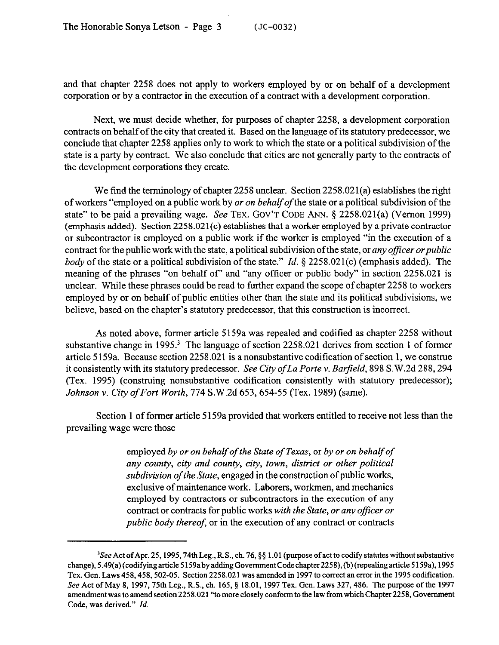and that chapter 2258 does not apply to workers employed by or on behalf of a development corporation or by a contractor in the execution of a contract with a development corporation.

Next, we must decide whether, for purposes of chapter 2258, a development corporation contracts on behalf of the city that created it. Based on the language of its statutory predecessor, we conclude that chapter 2258 applies only to work to which the state or a political subdivision of the state is a party by contract. We also conclude that cities are not generally party to the contracts of the development corporations they create.

We find the terminology of chapter  $2258$  unclear. Section  $2258.021(a)$  establishes the right of workers "employed on a public work by *or on behalf of* the state or a political subdivision of the state" to be paid a prevailing wage. See TEX. GOV'T CODE ANN.  $\S$  2258.021(a) (Vernon 1999) (emphasis added). Section 2258.021(c) establishes that a worker employed by a private contractor or subcontractor is employed on a public work if the worker is employed "in the execution of a contract for the public work with the state, a political subdivision of the state, or *any officer or public body* of the state or a political subdivision of the state." *Id.* § 2258.021(c) (emphasis added). The meaning of the phrases "on behalf of" and "any officer or public body" in section 2258.021 is unclear. While these phrases could be read to further expand the scope of chapter 2258 to workers employed by or on behalf of public entities other than the state and its political subdivisions, we believe, based on the chapter's statutory predecessor, that this construction is incorrect.

As noted above, former article 5159a was repealed and codified as chapter 2258 without substantive change in 1995.<sup>3</sup> The language of section 2258.021 derives from section 1 of former article 5159a. Because section 2258.021 is a nonsubstantive codification of section 1, we construe it consistently with its statutory predecessor. *See City ofLa Porte v. Barfield, 898* S.W.2d 288,294 (Tex. 1995) (construing nonsubstantive codification consistently with statutory predecessor); *Johnson v. City of Fort Worth, 774 S.W.2d 653, 654-55 (Tex. 1989) (same).* 

Section 1 of former article 5 159a provided that workers entitled to receive not less than the prevailing wage were those

> employed *by or on behalf of the State of Texas,* or *by or on behalf of any county, city and county, city, town, district or other political subdivision ofthe State,* engaged in the construction of public works, exclusive of maintenance work. Laborers, workmen, and mechanics employed by contractors or subcontractors in the execution of any contract or contracts for public works *with the State, or any officer or public body thereof,* or in the execution of any contract or contracts

<sup>&</sup>lt;sup>3</sup>See Act of Apr. 25, 1995, 74th Leg., R.S., ch. 76, §§ 1.01 (purpose of act to codify statutes without substantive change), 5.49(a)(codifyingarticle5159abyaddingGovemmentCodechapter2258),(b)(repealingarticle5159a), 1995 Tex. Gen. Laws 458, 458, 502-05. Section 2258.021 was amended in 1997 to correct an error in the 1995 codification. See Act of May 8, 1997, 75th Leg., R.S., ch. 165, § 18.01, 1997 Tex. Gen. Laws 327, 486. The purpose of the 1997 amendment was to amend section 2258.021 "to more closely conform to the law from which Chapter 2258, Government Code. was derived." *Id.*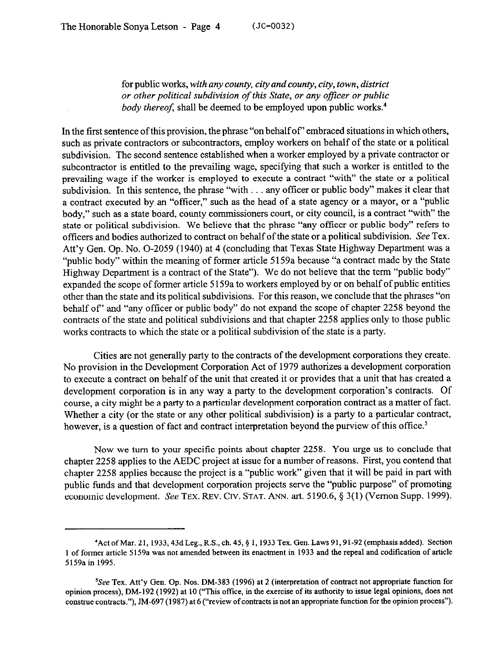for public works, *with any county, city and county, city, town, district or other political subdivision of this State, or any oficer or public body thereof*, shall be deemed to be employed upon public works.<sup>4</sup>

In the first sentence of this provision, the phrase "on behalf of' embraced situations in which others, such as private contractors or subcontractors, employ workers on behalf of the state or a political subdivision. The second sentence established when a worker employed by a private contractor or subcontractor is entitled to the prevailing wage, specifying that such a worker is entitled to the prevailing wage if the worker is employed to execute a contract "with" the state or a political subdivision. In this sentence, the phrase "with . . . any officer or public body" makes it clear that a contract executed by an "officer," such as the head of a state agency or a mayor, or a "public body," such as a state board, county commissioners court, or city council, is a contract "with" the state or political subdivision. We believe that the phrase "any officer or public body" refers to officers and bodies authorized to contract on behalf of the state or a political subdivision. See Tex. Att'y Gen. Op. No. O-2059 (1940) at 4 (concluding that Texas State Highway Department was a "public body" within the meaning of former article 5159a because "a contract made by the State Highway Department is a contract of the State"). We do not believe that the term "public body" expanded the scope of former article 5159a to workers employed by or on behalf of public entities other than the state and its political subdivisions. For this reason, we conclude that the phrases "on behalf of' and "any officer or public body" do not expand the scope of chapter 2258 beyond the contracts of the state and political subdivisions and that chapter 2258 applies only to those public works contracts to which the state or a political subdivision of the state is a party.

Cities are not generally party to the contracts of the development corporations they create. No provision in the Development Corporation Act of 1979 authorizes a development corporation to execute a contract on behalf of the unit that created it or provides that a unit that has created a development corporation is in any way a party to the development corporation's contracts. Of course, a city might be a party to a particular development corporation contract as a matter of fact. Whether a city (or the state or any other political subdivision) is a party to a particular contract, however, is a question of fact and contract interpretation beyond the purview of this office.<sup>5</sup>

Now we turn to your specific points about chapter 2258. You urge us to conclude that chapter 2258 applies to the AEDC project at issue for a number of reasons. First, you contend that chapter 2258 applies because the project is a "public work" given that it will be paid in part with public funds and that development corporation projects serve the "public purpose" of promoting economic development. See TEX. REV. CIV. STAT. ANN. art. 5190.6,  $\S 3(1)$  (Vernon Supp. 1999).

<sup>&#</sup>x27;Act ofMar. 21, 1933,43d Leg., RX, ch. 45,§ 1, 1933 Tex. Gen. Laws 91,91-92 (emphasis added). Section 1 of former article 5159a was not amended between its enactment in 1933 and the repeal and codification of article 5159a in 1995.

<sup>&</sup>lt;sup>5</sup>See Tex. Att'y Gen. Op. Nos. DM-383 (1996) at 2 (interpretation of contract not appropriate function for opinion process), DM-192 (1992) at 10 ("This office, in the exercise of its authority to issue legal opinions, does not construe contracts."), JM-697 (1987) at 6 ("review of contracts is not an appropriate function for the opinion process").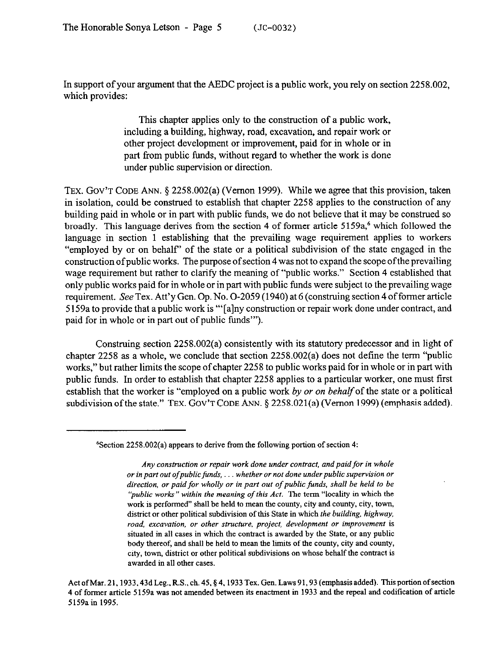In support of your argument that the AEDC project is a public work, you rely on section 2258.002, which provides:

> This chapter applies only to the construction of a public work, including a building, highway, road, excavation, and repair work or other project development or improvement, paid for in whole or in part from public funds, without regard to whether the work is done under public supervision or direction.

TEX. GOV'T CODE ANN. § 2258.002(a) (Vernon 1999). While we agree that this provision, taken in isolation, could be construed to establish that chapter 2258 applies to the construction of any building paid in whole or in part with public funds, we do not believe that it may be construed so broadly. This language derives from the section 4 of former article 5159a,<sup>6</sup> which followed the language in section 1 establishing that the prevailing wage requirement applies to workers "employed by or on behalf' of the state or a political subdivision of the state engaged in the construction of public works. The purpose of section 4 was not to expand the scope ofthe prevailing wage requirement but rather to clarify the meaning of "public works." Section 4 established that only public works paid for in whole or in part with public funds were subject to the prevailing wage requirement. See Tex. Att'y Gen. Op. No. O-2059 (1940) at 6 (construing section 4 of former article 5 159a to provide that a public work is "'[alny construction or repair work done under contract, and paid for in whole or in part out of public funds"').

Construing section 2258.002(a) consistently with its statutory predecessor and in light of chapter 2258 as a whole, we conclude that section 2258.002(a) does not define the term "public works," but rather limits the scope of chapter 2258 to public works paid for in whole or in part with public funds. In order to establish that chapter 2258 applies to a particular worker, one must first establish that the worker is "employed on a public work *by or on behalf* of the state or a political subdivision of the state." TEX. GOV'T CODE ANN. § 2258.021(a) (Vernon 1999) (emphasis added).

Act of Mar. 21, 1933, 43d Leg., R.S., ch. 45, § 4, 1933 Tex. Gen. Laws 91, 93 (emphasis added). This portion of section 4 of former article 5 159a was not amended between its enactment in 1933 and the repeal and codification of article 5159a in 1995.

 $6$ Section 2258.002(a) appears to derive from the following portion of section 4:

Any construction or repair work done under contract, and paid for in whole or in part out of public funds, . . . whether or not done under public supervision or *direction, or paid for wholly or in part out of public funds, shall be held to be 'public works" within the meaning of this Act.* The term "locality in which the work is performed" shall be held to mean the county, city and county, city, town, district or other political subdivision of this State in which *the building, highway, road, excavation, or other structure. project, development or improvement* is situated in all cases in which the contract is awarded by the State, or any public body thereof, and shall be held to mean the limits of the county, city and county, city, town, district 01 other political subdivisions on whose behalf the contract is awarded in all other cases.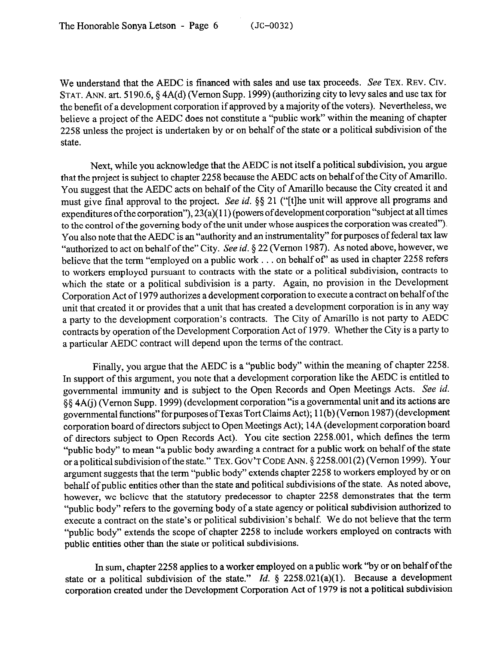We understand that the AEDC is financed with sales and use tax proceeds. See TEX. REV. CIV. STAT. ANN. art. 5190.6, § 4A(d) (Vernon Supp. 1999) (authorizing city to levy sales and use tax for the benefit of a development corporation if approved by a majority of the voters). Nevertheless, we believe a project of the AEDC does not constitute a "public work" within the meaning of chapter 2258 unless the project is undertaken by or on behalf of the state or a political subdivision of the state.

Next, while you acknowledge that the AEDC is not itself a political subdivision, you argue that the project is subject to chapter 2258 because the AEDC acts on behalf of the City of Amarillo. You suggest that the AEDC acts on behalf of the City of Amarillo because the City created it and must give final approval to the project. See *id.* \$5 21 ("[t]he unit will approve all programs and expenditures of the corporation"), 23(a)(11) (powers of development corporation "subject at all times to the control of the governing body of the unit under whose auspices the corporation was created"). You also note that the AEDC is an "authority and an instrumentality" for purposes of federal tax law "authorized to act on behalf of the" City. See *id.* § 22 (Vernon 1987). As noted above, however, we believe that the term "employed on a public work  $\dots$  on behalf of" as used in chapter 2258 refers to workers employed pursuant to contracts with the state or a political subdivision, contracts to which the state or a political subdivision is a party. Again, no provision in the Development Corporation Act of 1979 authorizes a development corporation to execute a contract on behalf of the unit that created it or provides that a unit that has created a development corporation is in any way a party to the development corporation's contracts. The City of Amarillo is not party to AEDC contracts by operation of the Development Corporation Act of 1979. Whether the City is a party to a particular AEDC contract will depend upon the terms of the contract.

Finally, you argue that the AEDC is a "public body" within the meaning of chapter 2258. In support of this argument, you note that a development corporation like the AEDC is entitled to governmental immunity and is subject to the Open Records and Open Meetings Acts. See *id.*  \$5 4A(i) (Vernon Supp. 1999) (development corporation "is a governmental unit and its actions are governmental functions" for purposes ofTexas Tort Claims Act); 11 (b) (Vernon 1987) (development corporation board of directors subject to Open Meetings Act); 14A (development corporation board of directors subject to Open Records Act). You cite section 2258.001, which defines the term "public body" to mean "a public body awarding a contract for a public work on behalf of the state or apolitical subdivisionofthe state." TEX. GOV'TCODE ANN. 5 2258.001(2) (Vernon 1999). Your argument suggests that the term "public body" extends chapter 2258 to workers employed by or on behalf of public entities other than the state and political subdivisions of the state. As noted above, however, we believe that the statutory predecessor to chapter 2258 demonstrates that the term "public body" refers to the governing body of a state agency or political subdivision authorized to execute a contract on the state's or political subdivision's behalf. We do not believe that the term "public body" extends the scope of chapter 2258 to include workers employed on contracts with public entities other than the state or political subdivisions.

In sum, chapter 2258 applies to a worker employed on a public work "by or on behalf of the state or a political subdivision of the state." *Id.* § 2258.021(a)(1). Because a development corporation created under the Development Corporation Act of 1979 is not a political subdivision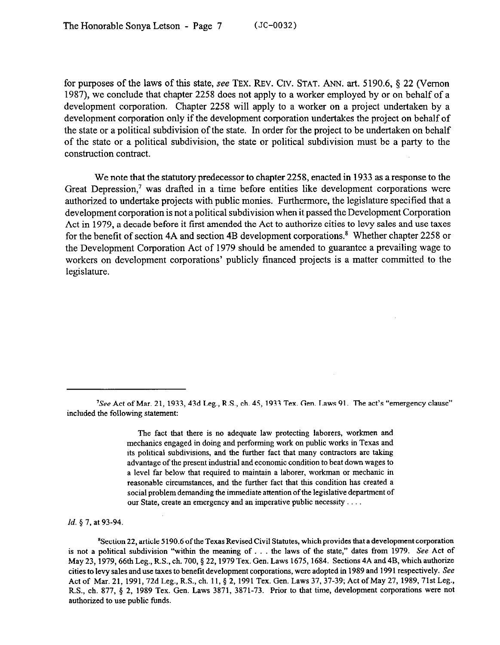for purposes of the laws of this state, see TEX. REV. CIV. STAT. ANN. art. 5190.6,  $\S$  22 (Vernon 1987), we conclude that chapter 2258 does not apply to a worker employed by or on behalf of a development corporation. Chapter 2258 will apply to a worker on a project undertaken by a development corporation only if the development corporation undertakes the project on behalf of the state or a political subdivision of the state. In order for the project to be undertaken on behalf of the state or a political subdivision, the state or political subdivision must be a party to the construction contract.

We note that the statutory predecessor to chapter 2258, enacted in 1933 as a response to the Great Depression,' was drafted in a time before entities like development corporations were authorized to undertake projects with public monies. Furthermore, the legislature specified that a development corporation is not a political subdivision when it passed the Development Corporation Act in 1979, a decade before it first amended the Act to authorize cities to levy sales and use taxes for the benefit of section 4A and section 4B development corporations.<sup>8</sup> Whether chapter 2258 or the Development Corporation Act of 1979 should be amended to guarantee a prevailing wage to workers on development corporations' publicly financed projects is a matter committed to the legislature.

The fact that there is no adequate law protecting laborers, workmen and mechanics engaged in doing and performing work on public works in Texas and its political subdivisions, and the further fact that many contractors are taking advantage of the present industrial and economic condition to beat down wages to a level far below that required to maintain a laborer, workman 01 mechanic in reasonable circumstances, and the further fact that this condition has created a social problem demanding the immediate attention of the legislative department of our State, create an emergency and an imperative public necessity . . . .

*Id. 5 7,* at *93-94.* 

'Section 22, article 5 190.6 ofthe Texas Revised Civil Statutes, which provides that a development corporation is not a political subdivision "within the meaning of . . . the laws of the state," dates from 1979. See Act of May 23, 1979, 66th Leg., R.S., ch. 700, § 22, 1979 Tex. Gen. Laws 1675, 1684. Sections 4A and 4B, which authorize cities to levy sales and use taxes to benefit development corporations, were adopted in 1989 and 1991 respectively. See Act of Mar. 21, 1991, 72d Leg., R.S., ch. 11, § 2, 1991 Tex. Gen. Laws 37, 37-39; Act of May 27, 1989, 71st Leg., R.S., ch. 877, § 2, 1989 Tex. Gen. Laws 3871, 3871-73. Prior to that time, development corporations were not authorized to use public funds.

<sup>&#</sup>x27;See Act of Mar. 21, 1933,43d Leg., R.S., ch. 45, 1933 Tex. Gen. Laws 91. The act's "emergency clause" included the following statement: